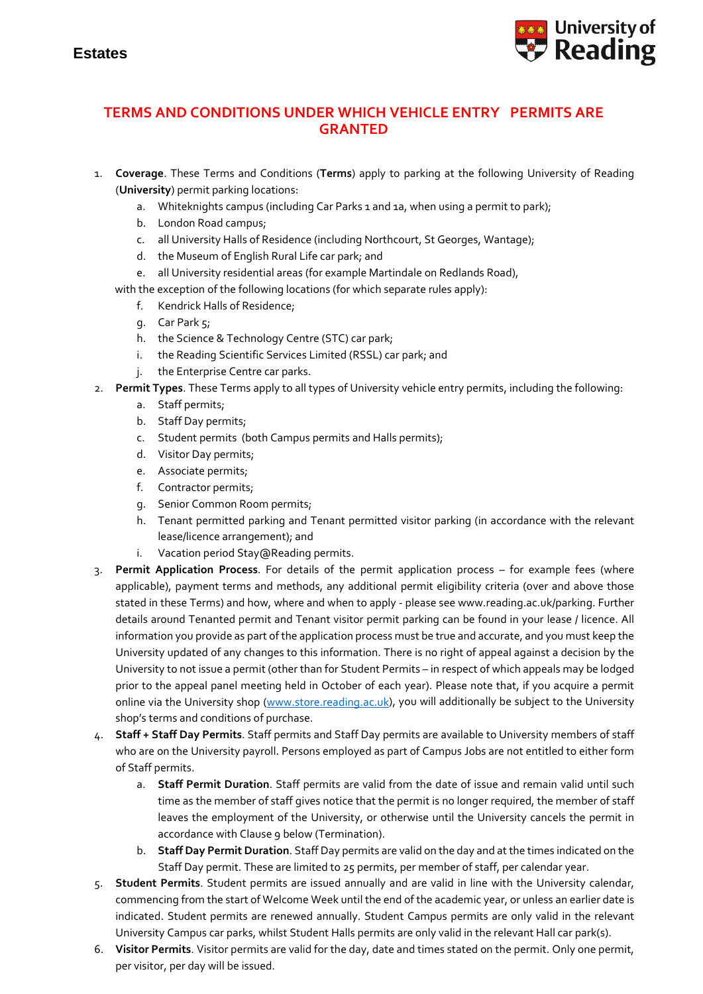

## **TERMS AND CONDITIONS UNDER WHICH VEHICLE ENTRY PERMITS ARE GRANTED**

- 1. **Coverage**. These Terms and Conditions (**Terms**) apply to parking at the following University of Reading (**University**) permit parking locations:
	- a. Whiteknights campus (including Car Parks 1 and 1a, when using a permit to park);
	- b. London Road campus;
	- c. all University Halls of Residence (including Northcourt, St Georges, Wantage);
	- d. the Museum of English Rural Life car park; and
	- e. all University residential areas (for example Martindale on Redlands Road),
	- with the exception of the following locations (for which separate rules apply):
		- f. Kendrick Halls of Residence;
		- g. Car Park 5;
		- h. the Science & Technology Centre (STC) car park;
		- i. the Reading Scientific Services Limited (RSSL) car park; and
		- j. the Enterprise Centre car parks.
- 2. **Permit Types**. These Terms apply to all types of University vehicle entry permits, including the following:
	- a. Staff permits;
	- b. Staff Day permits;
	- c. Student permits (both Campus permits and Halls permits);
	- d. Visitor Day permits;
	- e. Associate permits;
	- f. Contractor permits;
	- g. Senior Common Room permits;
	- h. Tenant permitted parking and Tenant permitted visitor parking (in accordance with the relevant lease/licence arrangement); and
	- i. Vacation period Stay@Reading permits.
- 3. **Permit Application Process**. For details of the permit application process for example fees (where applicable), payment terms and methods, any additional permit eligibility criteria (over and above those stated in these Terms) and how, where and when to apply - please see www.reading.ac.uk/parking. Further details around Tenanted permit and Tenant visitor permit parking can be found in your lease / licence. All information you provide as part of the application process must be true and accurate, and you must keep the University updated of any changes to this information. There is no right of appeal against a decision by the University to not issue a permit (other than for Student Permits – in respect of which appeals may be lodged prior to the appeal panel meeting held in October of each year). Please note that, if you acquire a permit online via the University shop [\(www.store.reading.ac.uk\)](http://www.store.reading.ac.uk/), you will additionally be subject to the University shop's terms and conditions of purchase.
- 4. **Staff + Staff Day Permits**. Staff permits and Staff Day permits are available to University members of staff who are on the University payroll. Persons employed as part of Campus Jobs are not entitled to either form of Staff permits.
	- a. **Staff Permit Duration**. Staff permits are valid from the date of issue and remain valid until such time as the member of staff gives notice that the permit is no longer required, the member of staff leaves the employment of the University, or otherwise until the University cancels the permit in accordance with Clause 9 below (Termination).
	- b. **Staff Day Permit Duration**. Staff Day permits are valid on the day and at the times indicated on the Staff Day permit. These are limited to 25 permits, per member of staff, per calendar year.
- 5. **Student Permits**. Student permits are issued annually and are valid in line with the University calendar, commencing from the start of Welcome Week until the end of the academic year, or unless an earlier date is indicated. Student permits are renewed annually. Student Campus permits are only valid in the relevant University Campus car parks, whilst Student Halls permits are only valid in the relevant Hall car park(s).
- 6. **Visitor Permits**. Visitor permits are valid for the day, date and times stated on the permit. Only one permit, per visitor, per day will be issued.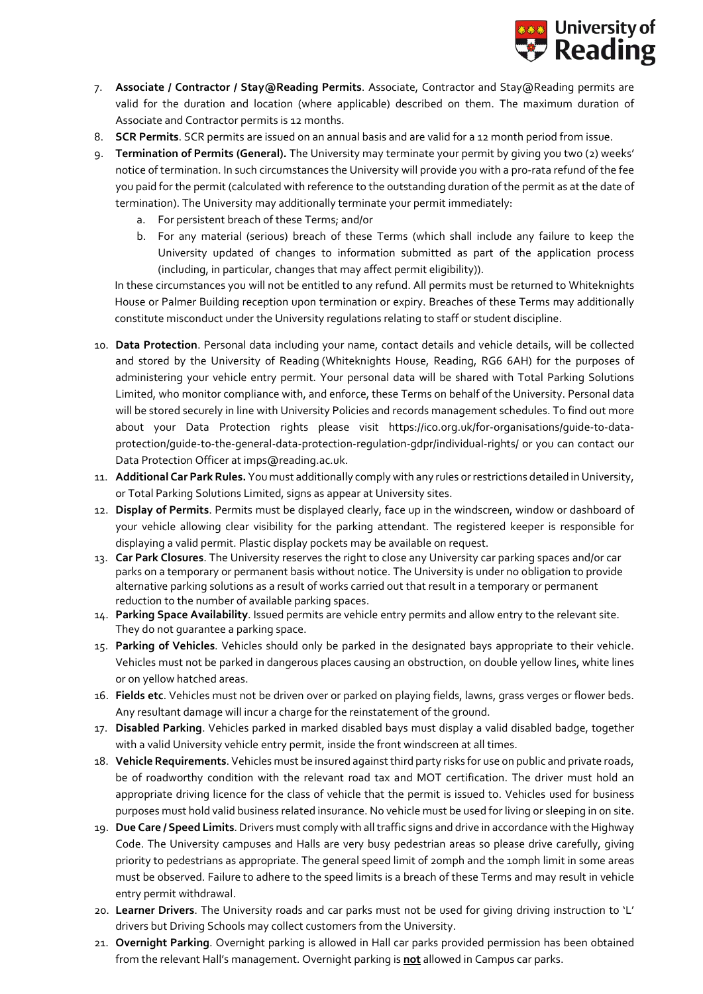

- 7. **Associate / Contractor / Stay@Reading Permits**. Associate, Contractor and Stay@Reading permits are valid for the duration and location (where applicable) described on them. The maximum duration of Associate and Contractor permits is 12 months.
- 8. **SCR Permits**. SCR permits are issued on an annual basis and are valid for a 12 month period from issue.
- 9. **Termination of Permits (General).** The University may terminate your permit by giving you two (2) weeks' notice of termination. In such circumstances the University will provide you with a pro-rata refund of the fee you paid for the permit (calculated with reference to the outstanding duration of the permit as at the date of termination). The University may additionally terminate your permit immediately:
	- a. For persistent breach of these Terms; and/or
	- b. For any material (serious) breach of these Terms (which shall include any failure to keep the University updated of changes to information submitted as part of the application process (including, in particular, changes that may affect permit eligibility)).

In these circumstances you will not be entitled to any refund. All permits must be returned to Whiteknights House or Palmer Building reception upon termination or expiry. Breaches of these Terms may additionally constitute misconduct under the University regulations relating to staff or student discipline.

- 10. **Data Protection**. Personal data including your name, contact details and vehicle details, will be collected and stored by the University of Reading (Whiteknights House, Reading, RG6 6AH) for the purposes of administering your vehicle entry permit. Your personal data will be shared with Total Parking Solutions Limited, who monitor compliance with, and enforce, these Terms on behalf of the University. Personal data will be stored securely in line with University Policies and records management schedules. To find out more about your Data Protection rights please visit [https://ico.org.uk/for-organisations/guide-to-data](https://ico.org.uk/for-organisations/guide-to-data-protection/guide-to-the-general-data-protection-regulation-gdpr/individual-rights/)[protection/guide-to-the-general-data-protection-regulation-gdpr/individual-rights/](https://ico.org.uk/for-organisations/guide-to-data-protection/guide-to-the-general-data-protection-regulation-gdpr/individual-rights/) or you can contact our Data Protection Officer a[t imps@reading.ac.uk.](mailto:imps@reading.ac.uk)
- 11. **Additional Car Park Rules.** You must additionally comply with any rules or restrictions detailed in University, or Total Parking Solutions Limited, signs as appear at University sites.
- 12. **Display of Permits**. Permits must be displayed clearly, face up in the windscreen, window or dashboard of your vehicle allowing clear visibility for the parking attendant. The registered keeper is responsible for displaying a valid permit. Plastic display pockets may be available on request.
- 13. **Car Park Closures**. The University reserves the right to close any University car parking spaces and/or car parks on a temporary or permanent basis without notice. The University is under no obligation to provide alternative parking solutions as a result of works carried out that result in a temporary or permanent reduction to the number of available parking spaces.
- 14. **Parking Space Availability**. Issued permits are vehicle entry permits and allow entry to the relevant site. They do not guarantee a parking space.
- 15. **Parking of Vehicles**. Vehicles should only be parked in the designated bays appropriate to their vehicle. Vehicles must not be parked in dangerous places causing an obstruction, on double yellow lines, white lines or on yellow hatched areas.
- 16. **Fields etc**. Vehicles must not be driven over or parked on playing fields, lawns, grass verges or flower beds. Any resultant damage will incur a charge for the reinstatement of the ground.
- 17. **Disabled Parking**. Vehicles parked in marked disabled bays must display a valid disabled badge, together with a valid University vehicle entry permit, inside the front windscreen at all times.
- 18. **Vehicle Requirements**. Vehicles must be insured against third party risks for use on public and private roads, be of roadworthy condition with the relevant road tax and MOT certification. The driver must hold an appropriate driving licence for the class of vehicle that the permit is issued to. Vehicles used for business purposes must hold valid business related insurance. No vehicle must be used for living or sleeping in on site.
- 19. **Due Care / Speed Limits**. Drivers must comply with all traffic signs and drive in accordance with the Highway Code. The University campuses and Halls are very busy pedestrian areas so please drive carefully, giving priority to pedestrians as appropriate. The general speed limit of 20mph and the 10mph limit in some areas must be observed. Failure to adhere to the speed limits is a breach of these Terms and may result in vehicle entry permit withdrawal.
- 20. **Learner Drivers**. The University roads and car parks must not be used for giving driving instruction to 'L' drivers but Driving Schools may collect customers from the University.
- 21. **Overnight Parking**. Overnight parking is allowed in Hall car parks provided permission has been obtained from the relevant Hall's management. Overnight parking is **not** allowed in Campus car parks.